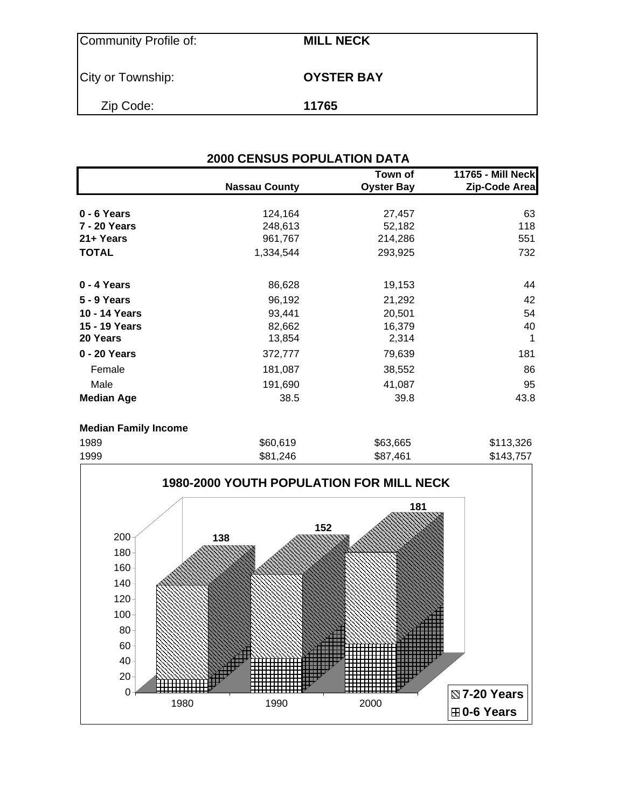| Community Profile of: | <b>MILL NECK</b>  |
|-----------------------|-------------------|
| City or Township:     | <b>OYSTER BAY</b> |
| Zip Code:             | 11765             |

| <b>2000 CENSUS POPULATION DATA</b> |                      |                              |                                           |  |  |  |
|------------------------------------|----------------------|------------------------------|-------------------------------------------|--|--|--|
|                                    | <b>Nassau County</b> | Town of<br><b>Oyster Bay</b> | <b>11765 - Mill Neck</b><br>Zip-Code Area |  |  |  |
| $0 - 6$ Years                      | 124,164              | 27,457                       | 63                                        |  |  |  |
| 7 - 20 Years                       | 248,613              | 52,182                       | 118                                       |  |  |  |
| 21+ Years                          | 961,767              | 214,286                      | 551                                       |  |  |  |
| <b>TOTAL</b>                       | 1,334,544            | 293,925                      | 732                                       |  |  |  |
| 0 - 4 Years                        | 86,628               | 19,153                       | 44                                        |  |  |  |
| 5 - 9 Years                        | 96,192               | 21,292                       | 42                                        |  |  |  |
| 10 - 14 Years                      | 93,441               | 20,501                       | 54                                        |  |  |  |
| 15 - 19 Years                      | 82,662               | 16,379                       | 40                                        |  |  |  |
| 20 Years                           | 13,854               | 2,314                        |                                           |  |  |  |
| 0 - 20 Years                       | 372,777              | 79,639                       | 181                                       |  |  |  |
| Female                             | 181,087              | 38,552                       | 86                                        |  |  |  |
| Male                               | 191,690              | 41,087                       | 95                                        |  |  |  |
| <b>Median Age</b>                  | 38.5                 | 39.8                         | 43.8                                      |  |  |  |
|                                    |                      |                              |                                           |  |  |  |

### **Median Family Income**

| 1989 | \$60,619 | \$63,665 | \$113,326 |
|------|----------|----------|-----------|
| 1999 | \$81,246 | \$87,461 | \$143,757 |

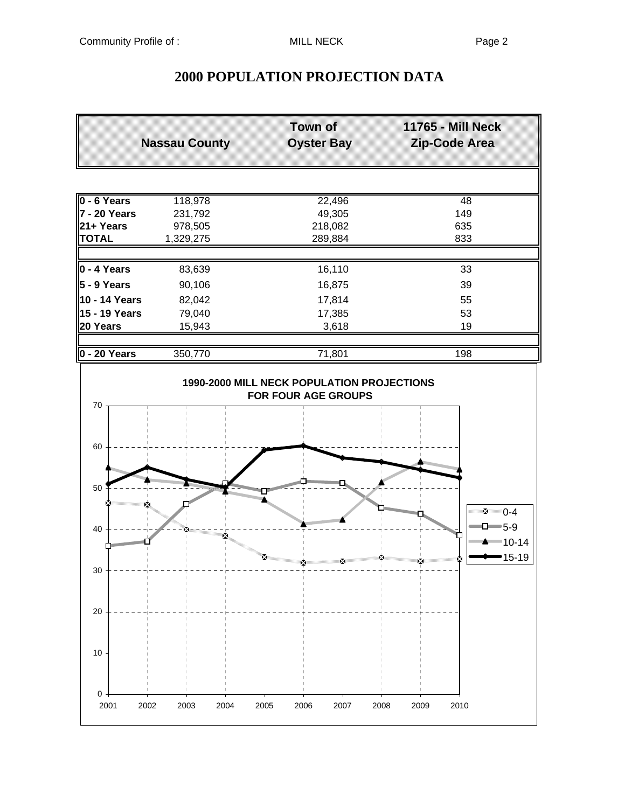# **2000 POPULATION PROJECTION DATA**

| <b>Nassau County</b>     |                              | <b>Town of</b><br><b>Oyster Bay</b>                                             | <b>11765 - Mill Neck</b><br>Zip-Code Area |
|--------------------------|------------------------------|---------------------------------------------------------------------------------|-------------------------------------------|
|                          |                              |                                                                                 |                                           |
| $\overline{0}$ - 6 Years | 118,978                      | 22,496                                                                          | 48                                        |
| 7 - 20 Years             | 231,792                      | 49,305                                                                          | 149                                       |
| 21+ Years                | 978,505                      | 218,082                                                                         | 635                                       |
| <b>TOTAL</b>             | 1,329,275                    | 289,884                                                                         | 833                                       |
| ∥0 - 4 Years             | 83,639                       | 16,110                                                                          | 33                                        |
| ∥5 - 9 Years             | 90,106                       | 16,875                                                                          | 39                                        |
| 10 - 14 Years            | 82,042                       | 17,814                                                                          | 55                                        |
| 15 - 19 Years            | 79,040                       | 17,385                                                                          | 53                                        |
| 20 Years                 | 15,943                       | 3,618                                                                           | 19                                        |
| $\vert$ 0 - 20 Years     | 350,770                      | 71,801                                                                          | 198                                       |
|                          |                              | <b>1990-2000 MILL NECK POPULATION PROJECTIONS</b><br><b>FOR FOUR AGE GROUPS</b> |                                           |
| 70                       |                              |                                                                                 |                                           |
| 60                       |                              |                                                                                 |                                           |
| 50                       | <b>Hilling Communication</b> |                                                                                 | <b>Communications</b>                     |
| 40                       | x.                           |                                                                                 | •⊠ 1-4<br>$\Box$ 5-9                      |

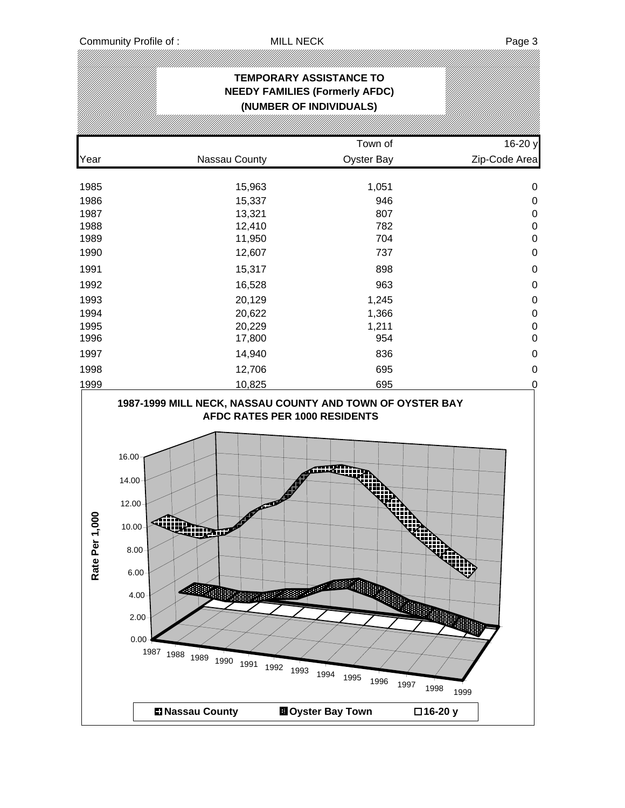|                   |                                                                                                                                                                                                                                                                       | <b>TEMPORARY ASSISTANCE TO</b><br><b>NEEDY FAMILIES (Formerly AFDC)</b><br>(NUMBER OF INDIVIDUALS)  |                      |
|-------------------|-----------------------------------------------------------------------------------------------------------------------------------------------------------------------------------------------------------------------------------------------------------------------|-----------------------------------------------------------------------------------------------------|----------------------|
|                   |                                                                                                                                                                                                                                                                       |                                                                                                     |                      |
|                   |                                                                                                                                                                                                                                                                       | Town of                                                                                             | 16-20 y              |
| Year              | Nassau County                                                                                                                                                                                                                                                         | Oyster Bay                                                                                          | Zip-Code Area        |
| 1985              | 15,963                                                                                                                                                                                                                                                                | 1,051                                                                                               | $\pmb{0}$            |
| 1986              | 15,337                                                                                                                                                                                                                                                                | 946                                                                                                 | $\pmb{0}$            |
| 1987              | 13,321                                                                                                                                                                                                                                                                | 807                                                                                                 | $\pmb{0}$            |
| 1988              | 12,410                                                                                                                                                                                                                                                                | 782                                                                                                 | $\pmb{0}$            |
| 1989              | 11,950                                                                                                                                                                                                                                                                | 704                                                                                                 | $\mathbf 0$          |
| 1990              | 12,607                                                                                                                                                                                                                                                                | 737                                                                                                 | $\pmb{0}$            |
| 1991              | 15,317                                                                                                                                                                                                                                                                | 898                                                                                                 | $\mathbf 0$          |
| 1992              | 16,528                                                                                                                                                                                                                                                                | 963                                                                                                 | $\mathbf 0$          |
| 1993              | 20,129                                                                                                                                                                                                                                                                | 1,245                                                                                               | $\pmb{0}$            |
| 1994              | 20,622                                                                                                                                                                                                                                                                | 1,366                                                                                               | $\pmb{0}$            |
| 1995              | 20,229                                                                                                                                                                                                                                                                | 1,211                                                                                               | $\mathbf 0$          |
| 1996              | 17,800                                                                                                                                                                                                                                                                | 954                                                                                                 | $\mathbf 0$          |
| 1997              | 14,940                                                                                                                                                                                                                                                                | 836                                                                                                 | $\pmb{0}$            |
| 1998              | 12,706                                                                                                                                                                                                                                                                | 695                                                                                                 | $\pmb{0}$            |
| 1999              | 10,825                                                                                                                                                                                                                                                                | 695                                                                                                 | $\mathbf 0$          |
| 8<br>Rate Per 1,0 | 16.00<br>14.00<br>12.00<br>10.00 <sub>1</sub><br><b>Kijing provinsi provinsi provinsi provinsi provinsi provinsi provinsi provinsi provinsi provinsi provinsi pro</b><br>$8.00 -$<br>$6.00 \times$<br>$4.00 \cdot$<br>$2.00 -$<br>0.00<br>1987 1988 1989 1990<br>1991 | AFDC RATES PER 1000 RESIDENTS<br>mum<br>Ø<br><b>CALLERY</b><br>1992<br>1993<br>1994<br>1995<br>1996 | 1997<br>1998<br>1999 |
|                   | <b>El Nassau County</b>                                                                                                                                                                                                                                               | <b>El</b> Oyster Bay Town                                                                           | □16-20 y             |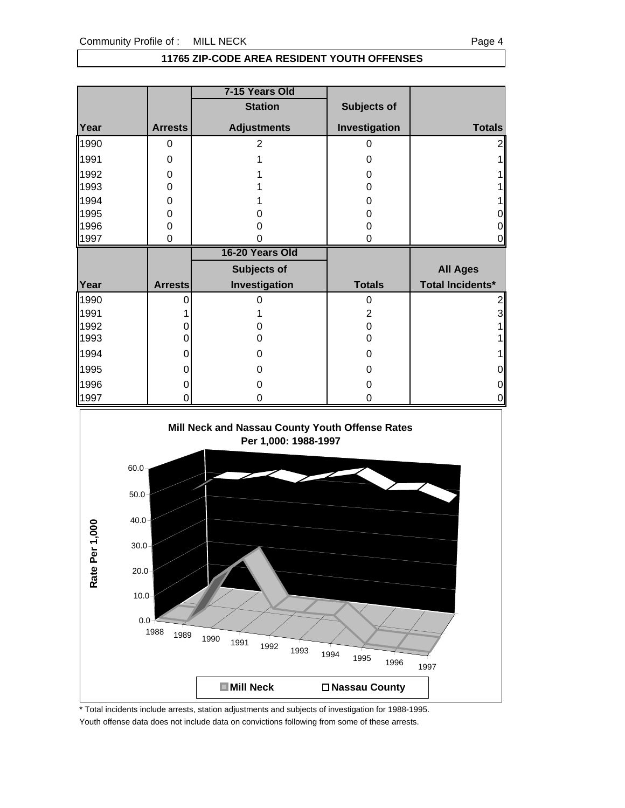### **11765 ZIP-CODE AREA RESIDENT YOUTH OFFENSES**

|      |                | 7-15 Years Old     |                    |                  |
|------|----------------|--------------------|--------------------|------------------|
|      |                | <b>Station</b>     | <b>Subjects of</b> |                  |
| Year | <b>Arrests</b> | <b>Adjustments</b> | Investigation      | <b>Totals</b>    |
| 1990 | 0              | 2                  | 0                  |                  |
| 1991 | 0              |                    | 0                  |                  |
| 1992 | 0              |                    | Ω                  |                  |
| 1993 | 0              |                    | 0                  |                  |
| 1994 | 0              |                    | 0                  |                  |
| 1995 | 0              |                    |                    |                  |
| 1996 | 0              |                    |                    |                  |
| 1997 | 0              |                    | 0                  |                  |
|      |                |                    |                    |                  |
|      |                | 16-20 Years Old    |                    |                  |
|      |                | Subjects of        |                    | <b>All Ages</b>  |
| Year | <b>Arrests</b> | Investigation      | <b>Totals</b>      | Total Incidents* |
| 1990 |                |                    | 0                  |                  |
| 1991 |                |                    | 2                  | 3                |
| 1992 |                |                    | 0                  |                  |
| 1993 |                | O                  | 0                  |                  |
| 1994 |                | O                  | Ω                  |                  |
| 1995 |                | O                  | Ω                  | 0                |
| 1996 |                |                    |                    | 0                |



\* Total incidents include arrests, station adjustments and subjects of investigation for 1988-1995. Youth offense data does not include data on convictions following from some of these arrests.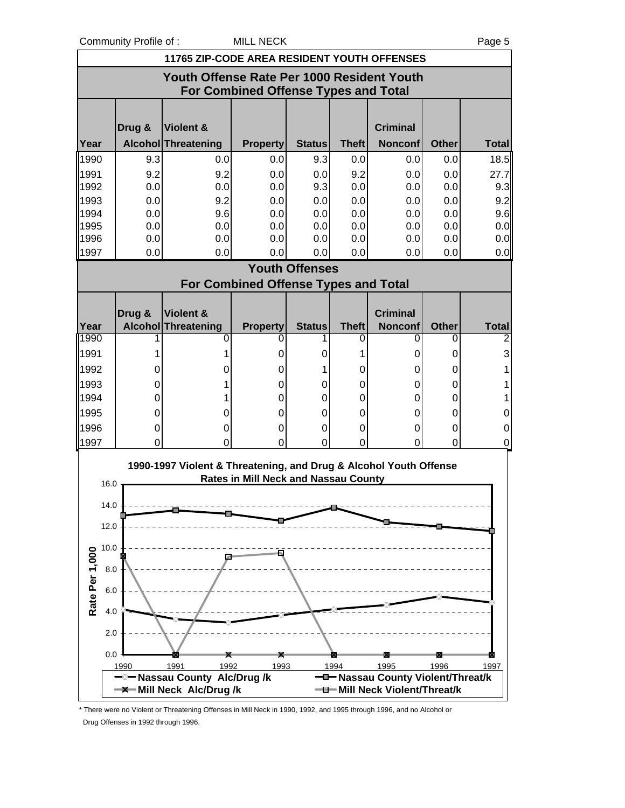Community Profile of : MILL NECK Page 5



\* There were no Violent or Threatening Offenses in Mill Neck in 1990, 1992, and 1995 through 1996, and no Alcohol or Drug Offenses in 1992 through 1996.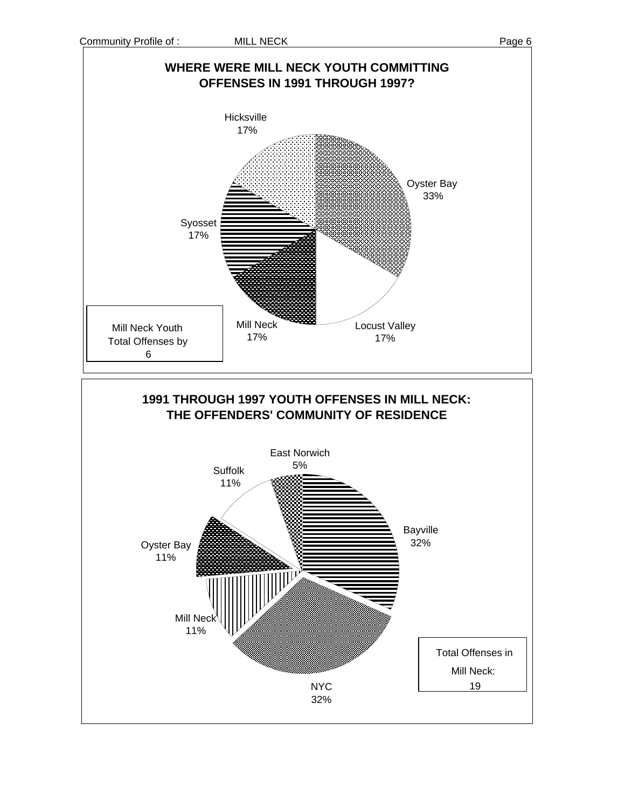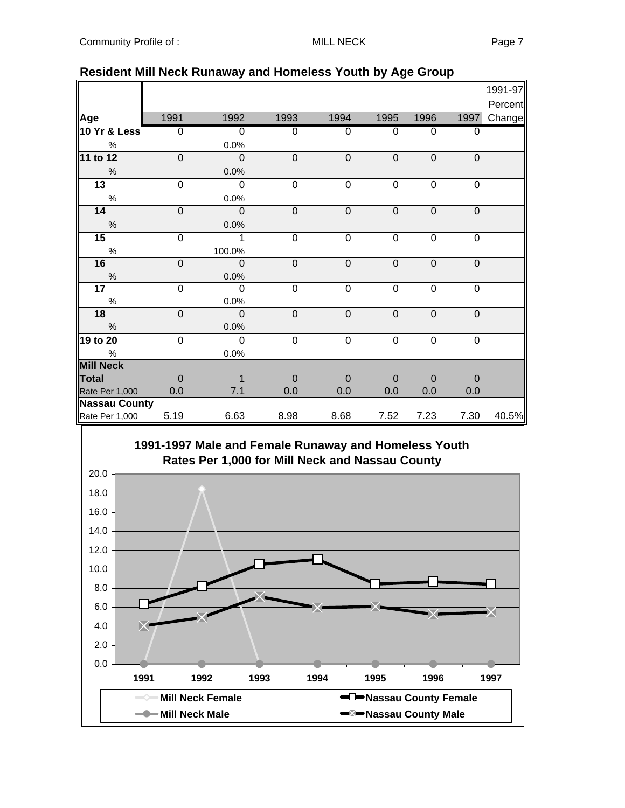|                |                                                                                                               |                                                                                                                    |                                                                              |                                                                                           |                                                                         |                                                                            | 1991-97                                                                                   |
|----------------|---------------------------------------------------------------------------------------------------------------|--------------------------------------------------------------------------------------------------------------------|------------------------------------------------------------------------------|-------------------------------------------------------------------------------------------|-------------------------------------------------------------------------|----------------------------------------------------------------------------|-------------------------------------------------------------------------------------------|
|                |                                                                                                               |                                                                                                                    |                                                                              |                                                                                           |                                                                         |                                                                            | Percent                                                                                   |
| 1991           | 1992                                                                                                          | 1993                                                                                                               | 1994                                                                         | 1995                                                                                      | 1996                                                                    | 1997                                                                       | Change                                                                                    |
| $\overline{0}$ | $\overline{0}$                                                                                                | 0                                                                                                                  | 0                                                                            | $\Omega$                                                                                  | 0                                                                       | $\overline{0}$                                                             |                                                                                           |
|                | 0.0%                                                                                                          |                                                                                                                    |                                                                              |                                                                                           |                                                                         |                                                                            |                                                                                           |
| $\overline{0}$ | $\overline{0}$                                                                                                | $\overline{0}$                                                                                                     | $\overline{0}$                                                               | $\overline{0}$                                                                            | $\mathbf 0$                                                             | $\mathbf 0$                                                                |                                                                                           |
|                | 0.0%                                                                                                          |                                                                                                                    |                                                                              |                                                                                           |                                                                         |                                                                            |                                                                                           |
| $\overline{0}$ | $\mathbf 0$                                                                                                   | $\overline{0}$                                                                                                     | 0                                                                            | $\mathbf 0$                                                                               | $\overline{0}$                                                          | $\overline{0}$                                                             |                                                                                           |
|                | 0.0%                                                                                                          |                                                                                                                    |                                                                              |                                                                                           |                                                                         |                                                                            |                                                                                           |
| $\mathbf 0$    | $\overline{0}$                                                                                                | $\mathbf 0$                                                                                                        | $\mathbf 0$                                                                  | $\mathbf 0$                                                                               | $\mathbf 0$                                                             | $\mathbf 0$                                                                |                                                                                           |
|                | 0.0%                                                                                                          |                                                                                                                    |                                                                              |                                                                                           |                                                                         |                                                                            |                                                                                           |
| 0              | 1                                                                                                             | $\mathbf 0$                                                                                                        | $\mathbf 0$                                                                  | $\mathbf 0$                                                                               | $\mathbf 0$                                                             | $\mathbf 0$                                                                |                                                                                           |
|                | 100.0%                                                                                                        |                                                                                                                    |                                                                              |                                                                                           |                                                                         |                                                                            |                                                                                           |
|                |                                                                                                               |                                                                                                                    |                                                                              | $\pmb{0}$                                                                                 | $\mathbf 0$                                                             |                                                                            |                                                                                           |
|                |                                                                                                               |                                                                                                                    |                                                                              |                                                                                           |                                                                         |                                                                            |                                                                                           |
|                |                                                                                                               |                                                                                                                    |                                                                              |                                                                                           |                                                                         |                                                                            |                                                                                           |
|                |                                                                                                               |                                                                                                                    |                                                                              |                                                                                           |                                                                         |                                                                            |                                                                                           |
|                |                                                                                                               |                                                                                                                    |                                                                              |                                                                                           |                                                                         |                                                                            |                                                                                           |
|                |                                                                                                               |                                                                                                                    |                                                                              |                                                                                           |                                                                         |                                                                            |                                                                                           |
|                |                                                                                                               |                                                                                                                    |                                                                              |                                                                                           |                                                                         |                                                                            |                                                                                           |
|                |                                                                                                               |                                                                                                                    |                                                                              |                                                                                           |                                                                         |                                                                            |                                                                                           |
|                |                                                                                                               |                                                                                                                    |                                                                              |                                                                                           |                                                                         |                                                                            |                                                                                           |
|                |                                                                                                               |                                                                                                                    |                                                                              |                                                                                           |                                                                         |                                                                            |                                                                                           |
|                |                                                                                                               |                                                                                                                    |                                                                              |                                                                                           |                                                                         |                                                                            |                                                                                           |
|                |                                                                                                               |                                                                                                                    |                                                                              |                                                                                           |                                                                         |                                                                            |                                                                                           |
|                |                                                                                                               |                                                                                                                    |                                                                              |                                                                                           |                                                                         |                                                                            | 40.5%                                                                                     |
| 10 Yr & Less   | $\mathbf 0$<br>0<br>$\overline{0}$<br>$\overline{0}$<br>$\overline{0}$<br>0.0<br><b>Nassau County</b><br>5.19 | $\mathbf 0$<br>0.0%<br>$\mathbf 0$<br>0.0%<br>$\overline{0}$<br>0.0%<br>$\overline{0}$<br>0.0%<br>1<br>7.1<br>6.63 | $\mathbf 0$<br>0<br>$\mathbf 0$<br>$\mathbf 0$<br>$\mathbf 0$<br>0.0<br>8.98 | $\mathbf 0$<br>$\overline{0}$<br>$\mathbf 0$<br>$\mathbf 0$<br>$\mathbf 0$<br>0.0<br>8.68 | $\overline{0}$<br>$\mathbf 0$<br>$\mathbf 0$<br>$\Omega$<br>0.0<br>7.52 | $\overline{0}$<br>$\mathbf 0$<br>$\mathbf 0$<br>$\mathbf 0$<br>0.0<br>7.23 | $\mathbf 0$<br>$\overline{0}$<br>$\mathbf 0$<br>$\mathbf 0$<br>$\mathbf 0$<br>0.0<br>7.30 |

## **Resident Mill Neck Runaway and Homeless Youth by Age Group**

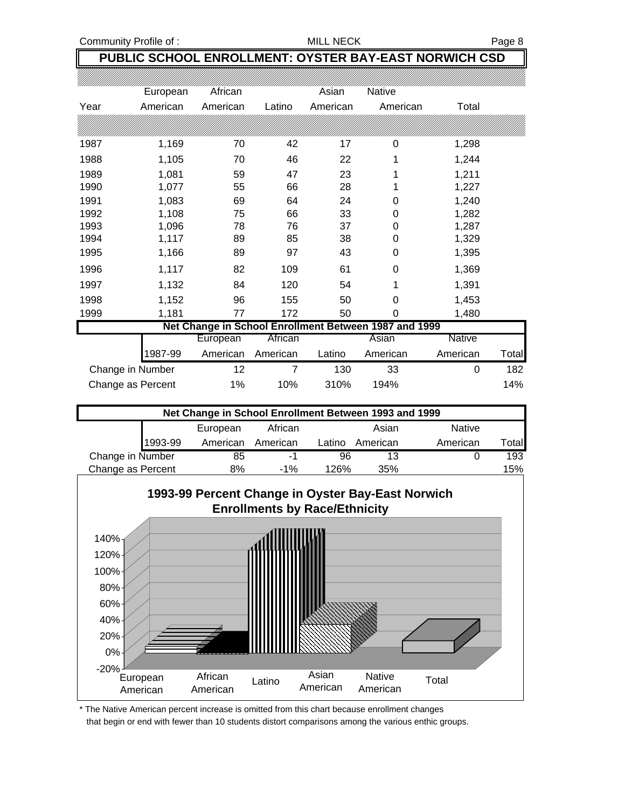Community Profile of : MILL NECK MILL NECK Page 8

## **PUBLIC SCHOOL ENROLLMENT: OYSTER BAY-EAST NORWICH CSD**

|                  | European                                              | African  |          | Asian    | <b>Native</b> |          |       |  |  |
|------------------|-------------------------------------------------------|----------|----------|----------|---------------|----------|-------|--|--|
| Year             | American                                              | American | Latino   | American | American      | Total    |       |  |  |
|                  |                                                       |          |          |          |               |          |       |  |  |
| 1987             | 1,169                                                 | 70       | 42       | 17       | 0             | 1,298    |       |  |  |
| 1988             | 1,105                                                 | 70       | 46       | 22       | 1             | 1,244    |       |  |  |
| 1989             | 1,081                                                 | 59       | 47       | 23       | 1             | 1,211    |       |  |  |
| 1990             | 1,077                                                 | 55       | 66       | 28       | 1             | 1,227    |       |  |  |
| 1991             | 1,083                                                 | 69       | 64       | 24       | 0             | 1,240    |       |  |  |
| 1992             | 1,108                                                 | 75       | 66       | 33       | 0             | 1,282    |       |  |  |
| 1993             | 1,096                                                 | 78       | 76       | 37       | 0             | 1,287    |       |  |  |
| 1994             | 1,117                                                 | 89       | 85       | 38       | 0             | 1,329    |       |  |  |
| 1995             | 1,166                                                 | 89       | 97       | 43       | 0             | 1,395    |       |  |  |
| 1996             | 1,117                                                 | 82       | 109      | 61       | 0             | 1,369    |       |  |  |
| 1997             | 1,132                                                 | 84       | 120      | 54       | 1             | 1,391    |       |  |  |
| 1998             | 1,152                                                 | 96       | 155      | 50       | 0             | 1,453    |       |  |  |
| 1999             | 1,181                                                 | 77       | 172      | 50       | 0             | 1,480    |       |  |  |
|                  | Net Change in School Enrollment Between 1987 and 1999 |          |          |          |               |          |       |  |  |
|                  |                                                       | European | African  |          | Asian         | Native   |       |  |  |
|                  | 1987-99                                               | American | American | Latino   | American      | American | Total |  |  |
| Change in Number |                                                       | 12       | 7        | 130      | 33            | 0        | 182   |  |  |

| Net Change in School Enrollment Between 1993 and 1999 |         |          |          |        |          |               |                  |  |
|-------------------------------------------------------|---------|----------|----------|--------|----------|---------------|------------------|--|
|                                                       |         | European | African  |        | Asian    | <b>Native</b> |                  |  |
|                                                       | 1993-99 | American | American | Latino | American | American      | $\mathsf{Total}$ |  |
| Change in Number                                      |         | 85       | -1       | 96     | 13       |               | 193              |  |
| Change as Percent                                     |         | 8%       | $-1%$    | 126%   | 35%      |               | 15%              |  |

Change as Percent 1% 10% 310% 194% 194% 14%



\* The Native American percent increase is omitted from this chart because enrollment changes that begin or end with fewer than 10 students distort comparisons among the various enthic groups.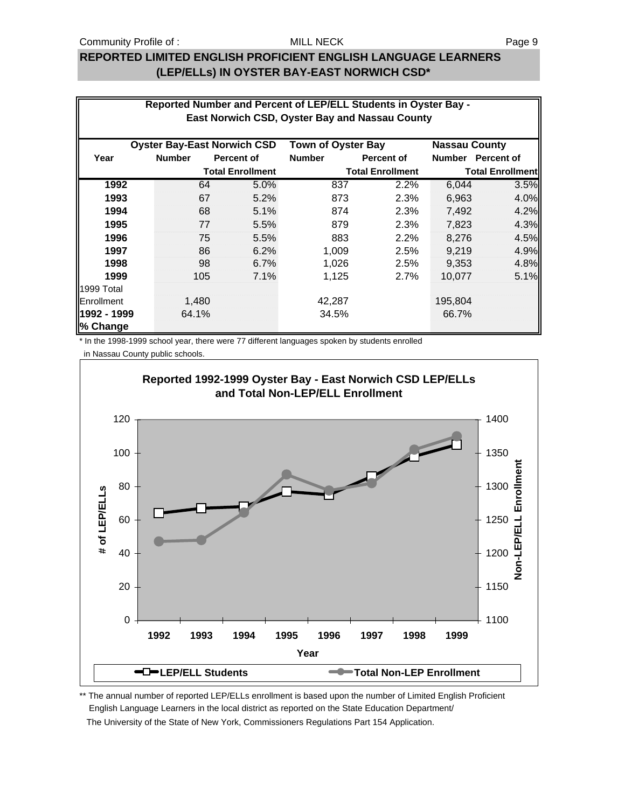## **REPORTED LIMITED ENGLISH PROFICIENT ENGLISH LANGUAGE LEARNERS (LEP/ELLs) IN OYSTER BAY-EAST NORWICH CSD\***

| Reported Number and Percent of LEP/ELL Students in Oyster Bay -<br>East Norwich CSD, Oyster Bay and Nassau County |                                    |                         |                           |                         |                      |                         |  |
|-------------------------------------------------------------------------------------------------------------------|------------------------------------|-------------------------|---------------------------|-------------------------|----------------------|-------------------------|--|
|                                                                                                                   | <b>Oyster Bay-East Norwich CSD</b> |                         | <b>Town of Oyster Bay</b> |                         | <b>Nassau County</b> |                         |  |
| Year                                                                                                              | <b>Number</b>                      | <b>Percent of</b>       | <b>Number</b>             | Percent of              |                      | Number Percent of       |  |
|                                                                                                                   |                                    | <b>Total Enrollment</b> |                           | <b>Total Enrollment</b> |                      | <b>Total Enrollment</b> |  |
| 1992                                                                                                              | 64                                 | 5.0%                    | 837                       | 2.2%                    | 6,044                | 3.5%                    |  |
| 1993                                                                                                              | 67                                 | 5.2%                    | 873                       | 2.3%                    | 6,963                | 4.0%                    |  |
| 1994                                                                                                              | 68                                 | 5.1%                    | 874                       | 2.3%                    | 7,492                | 4.2%                    |  |
| 1995                                                                                                              | 77                                 | 5.5%                    | 879                       | 2.3%                    | 7,823                | 4.3%                    |  |
| 1996                                                                                                              | 75                                 | 5.5%                    | 883                       | 2.2%                    | 8,276                | 4.5%                    |  |
| 1997                                                                                                              | 86                                 | 6.2%                    | 1,009                     | 2.5%                    | 9.219                | 4.9%                    |  |
| 1998                                                                                                              | 98                                 | 6.7%                    | 1,026                     | 2.5%                    | 9,353                | 4.8%                    |  |
| 1999                                                                                                              | 105                                | 7.1%                    | 1,125                     | 2.7%                    | 10,077               | 5.1%                    |  |
| 1999 Total                                                                                                        |                                    |                         |                           |                         |                      |                         |  |
| Enrollment                                                                                                        | 1,480                              |                         | 42,287                    |                         | 195,804              |                         |  |
| 1992 - 1999<br>% Change                                                                                           | 64.1%                              |                         | 34.5%                     |                         | 66.7%                |                         |  |

\* In the 1998-1999 school year, there were 77 different languages spoken by students enrolled

in Nassau County public schools.



\*\* The annual number of reported LEP/ELLs enrollment is based upon the number of Limited English Proficient English Language Learners in the local district as reported on the State Education Department/ The University of the State of New York, Commissioners Regulations Part 154 Application.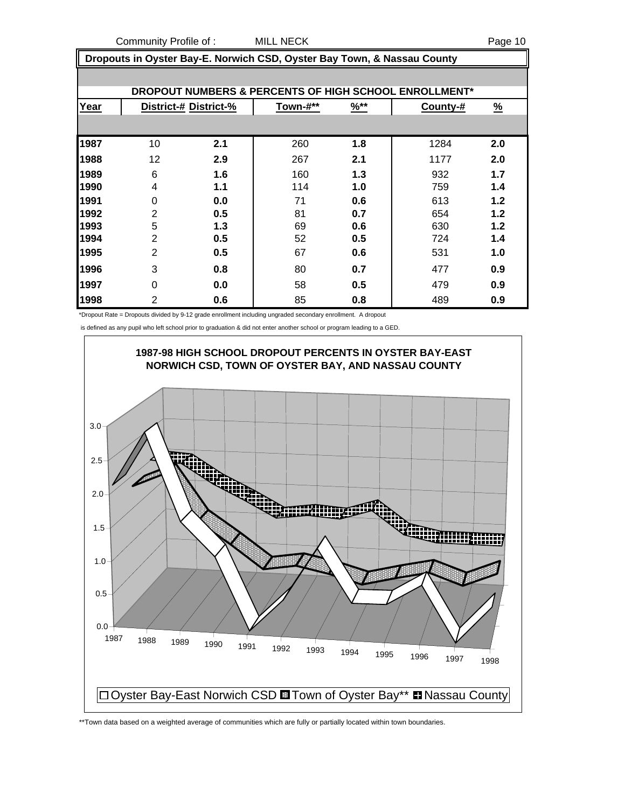Community Profile of : MILL NECK Page 10

 **Dropouts in Oyster Bay-E. Norwich CSD, Oyster Bay Town, & Nassau County**

|      |                |                       |          |        | DROPOUT NUMBERS & PERCENTS OF HIGH SCHOOL ENROLLMENT* |               |
|------|----------------|-----------------------|----------|--------|-------------------------------------------------------|---------------|
| Year |                | District-# District-% | Town-#** | $%$ ** | County-#                                              | $\frac{9}{6}$ |
|      |                |                       |          |        |                                                       |               |
| 1987 | 10             | 2.1                   | 260      | 1.8    | 1284                                                  | 2.0           |
| 1988 | 12             | 2.9                   | 267      | 2.1    | 1177                                                  | 2.0           |
| 1989 | 6              | 1.6                   | 160      | 1.3    | 932                                                   | 1.7           |
| 1990 | 4              | 1.1                   | 114      | 1.0    | 759                                                   | 1.4           |
| 1991 | $\Omega$       | 0.0                   | 71       | 0.6    | 613                                                   | 1.2           |
| 1992 | $\overline{2}$ | 0.5                   | 81       | 0.7    | 654                                                   | 1.2           |
| 1993 | 5              | 1.3                   | 69       | 0.6    | 630                                                   | 1.2           |
| 1994 | $\overline{2}$ | 0.5                   | 52       | 0.5    | 724                                                   | 1.4           |
| 1995 | $\overline{2}$ | 0.5                   | 67       | 0.6    | 531                                                   | 1.0           |
| 1996 | 3              | 0.8                   | 80       | 0.7    | 477                                                   | 0.9           |
| 1997 | $\Omega$       | 0.0                   | 58       | 0.5    | 479                                                   | 0.9           |
| 1998 | $\overline{2}$ | 0.6                   | 85       | 0.8    | 489                                                   | 0.9           |

\*Dropout Rate = Dropouts divided by 9-12 grade enrollment including ungraded secondary enrollment. A dropout

is defined as any pupil who left school prior to graduation & did not enter another school or program leading to a GED.



\*\*Town data based on a weighted average of communities which are fully or partially located within town boundaries.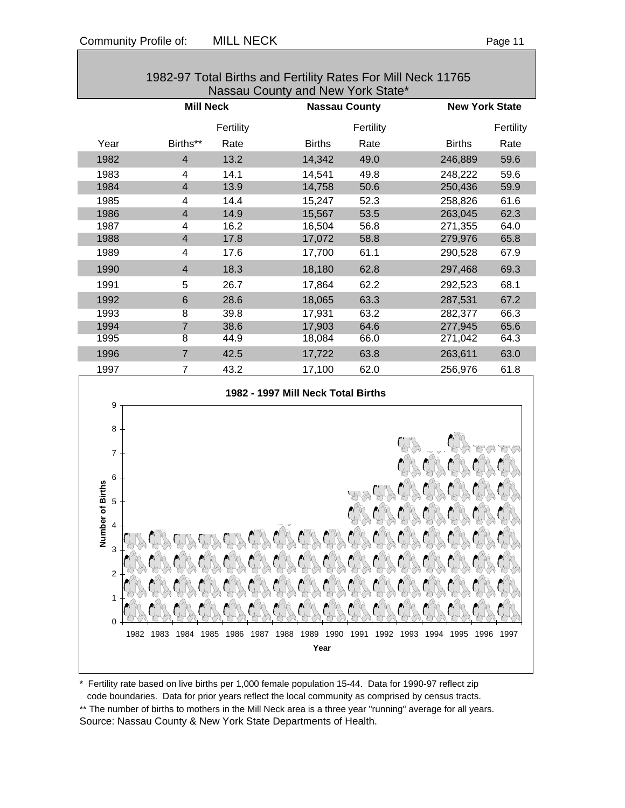| 1982-97 Total Births and Fertility Rates For Mill Neck 11765<br>Nassau County and New York State* |                         |           |                                    |                      |                       |           |
|---------------------------------------------------------------------------------------------------|-------------------------|-----------|------------------------------------|----------------------|-----------------------|-----------|
|                                                                                                   | <b>Mill Neck</b>        |           |                                    | <b>Nassau County</b> | <b>New York State</b> |           |
|                                                                                                   |                         | Fertility |                                    | Fertility            |                       | Fertility |
| Year                                                                                              | Births**                | Rate      | <b>Births</b>                      | Rate                 | <b>Births</b>         | Rate      |
| 1982                                                                                              | $\overline{\mathbf{4}}$ | 13.2      | 14,342                             | 49.0                 | 246,889               | 59.6      |
| 1983                                                                                              | 4                       | 14.1      | 14,541                             | 49.8                 | 248,222               | 59.6      |
| 1984                                                                                              | $\overline{\mathbf{4}}$ | 13.9      | 14,758                             | 50.6                 | 250,436               | 59.9      |
| 1985                                                                                              | 4                       | 14.4      | 15,247                             | 52.3                 | 258,826               | 61.6      |
| 1986                                                                                              | $\overline{\mathbf{4}}$ | 14.9      | 15,567                             | 53.5                 | 263,045               | 62.3      |
| 1987                                                                                              | 4                       | 16.2      | 16,504                             | 56.8                 | 271,355               | 64.0      |
| 1988                                                                                              | $\overline{\mathbf{4}}$ | 17.8      | 17,072                             | 58.8                 | 279,976               | 65.8      |
| 1989                                                                                              | 4                       | 17.6      | 17,700                             | 61.1                 | 290,528               | 67.9      |
| 1990                                                                                              | $\overline{4}$          | 18.3      | 18,180                             | 62.8                 | 297,468               | 69.3      |
| 1991                                                                                              | 5                       | 26.7      | 17,864                             | 62.2                 | 292,523               | 68.1      |
| 1992                                                                                              | $6\phantom{.}$          | 28.6      | 18,065                             | 63.3                 | 287,531               | 67.2      |
| 1993                                                                                              | 8                       | 39.8      | 17,931                             | 63.2                 | 282,377               | 66.3      |
| 1994                                                                                              | $\overline{7}$          | 38.6      | 17,903                             | 64.6                 | 277,945               | 65.6      |
| 1995                                                                                              | 8                       | 44.9      | 18,084                             | 66.0                 | 271,042               | 64.3      |
| 1996                                                                                              | $\overline{7}$          | 42.5      | 17,722                             | 63.8                 | 263,611               | 63.0      |
| 1997                                                                                              | $\overline{7}$          | 43.2      | 17,100                             | 62.0                 | 256,976               | 61.8      |
|                                                                                                   |                         |           | 1982 - 1997 Mill Neck Total Births |                      |                       |           |
| 9<br>8                                                                                            |                         |           |                                    |                      |                       |           |
| $\overline{7}$                                                                                    |                         |           |                                    |                      |                       |           |
| 6                                                                                                 |                         |           |                                    |                      |                       |           |
| nber of Births                                                                                    |                         |           |                                    |                      |                       |           |
| 5                                                                                                 |                         |           |                                    |                      |                       |           |
| 4                                                                                                 |                         |           |                                    |                      |                       |           |
| 3<br>Z                                                                                            |                         |           |                                    |                      |                       |           |
|                                                                                                   |                         |           |                                    |                      |                       |           |
| $\overline{2}$                                                                                    |                         |           |                                    |                      |                       |           |
|                                                                                                   |                         |           |                                    |                      |                       |           |
|                                                                                                   |                         |           |                                    |                      |                       |           |

1982-97 Total Births and Fertility Rates For Mill Neck 11765

\* Fertility rate based on live births per 1,000 female population 15-44. Data for 1990-97 reflect zip code boundaries. Data for prior years reflect the local community as comprised by census tracts. \*\* The number of births to mothers in the Mill Neck area is a three year "running" average for all years. Source: Nassau County & New York State Departments of Health.

1982 1983 1984 1985 1986 1987 1988 1989 1990 1991 1992 1993 1994 1995 1996 1997 **Year**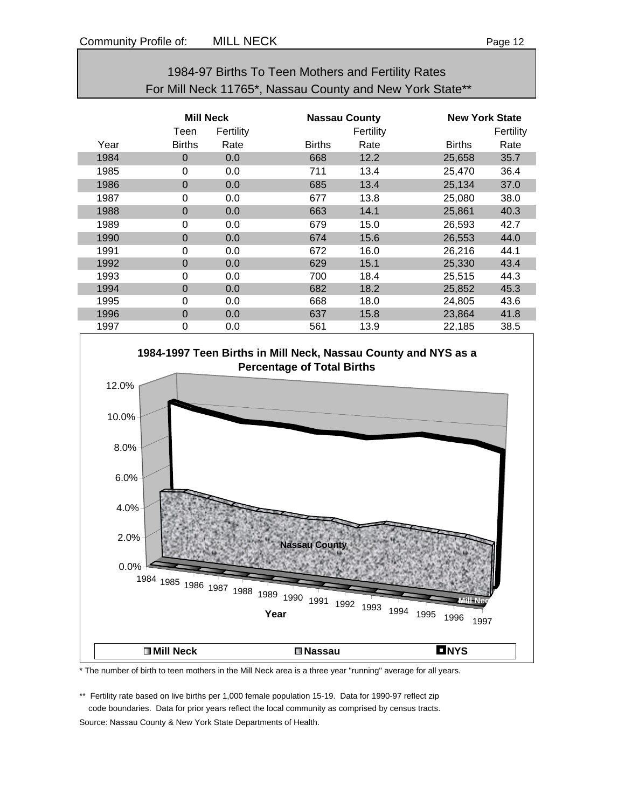| 1984-97 Births To Teen Mothers and Fertility Rates       |
|----------------------------------------------------------|
| For Mill Neck 11765*, Nassau County and New York State** |

|      | <b>Mill Neck</b><br>Teen<br>Fertility |      |               | <b>Nassau County</b><br>Fertility |               | <b>New York State</b><br>Fertility |  |
|------|---------------------------------------|------|---------------|-----------------------------------|---------------|------------------------------------|--|
| Year | <b>Births</b>                         | Rate | <b>Births</b> | Rate                              | <b>Births</b> | Rate                               |  |
| 1984 | $\Omega$                              | 0.0  | 668           | 12.2                              | 25,658        | 35.7                               |  |
| 1985 | 0                                     | 0.0  | 711           | 13.4                              | 25,470        | 36.4                               |  |
| 1986 | $\Omega$                              | 0.0  | 685           | 13.4                              | 25,134        | 37.0                               |  |
| 1987 | $\Omega$                              | 0.0  | 677           | 13.8                              | 25,080        | 38.0                               |  |
| 1988 | $\Omega$                              | 0.0  | 663           | 14.1                              | 25,861        | 40.3                               |  |
| 1989 | 0                                     | 0.0  | 679           | 15.0                              | 26,593        | 42.7                               |  |
| 1990 | $\Omega$                              | 0.0  | 674           | 15.6                              | 26,553        | 44.0                               |  |
| 1991 | 0                                     | 0.0  | 672           | 16.0                              | 26,216        | 44.1                               |  |
| 1992 | $\Omega$                              | 0.0  | 629           | 15.1                              | 25,330        | 43.4                               |  |
| 1993 | $\Omega$                              | 0.0  | 700           | 18.4                              | 25,515        | 44.3                               |  |
| 1994 | $\Omega$                              | 0.0  | 682           | 18.2                              | 25,852        | 45.3                               |  |
| 1995 | 0                                     | 0.0  | 668           | 18.0                              | 24,805        | 43.6                               |  |
| 1996 | $\Omega$                              | 0.0  | 637           | 15.8                              | 23,864        | 41.8                               |  |
| 1997 | 0                                     | 0.0  | 561           | 13.9                              | 22,185        | 38.5                               |  |



\* The number of birth to teen mothers in the Mill Neck area is a three year "running" average for all years.

\*\* Fertility rate based on live births per 1,000 female population 15-19. Data for 1990-97 reflect zip code boundaries. Data for prior years reflect the local community as comprised by census tracts. Source: Nassau County & New York State Departments of Health.